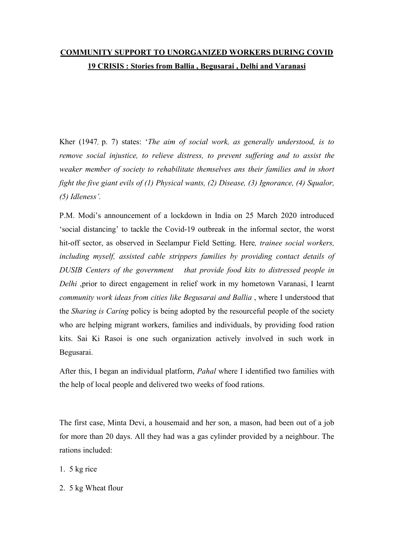## **COMMUNITY SUPPORT TO UNORGANIZED WORKERS DURING COVID 19 CRISIS : Stories from Ballia , Begusarai ,Delhi and Varanasi**

Kher (1947, p. 7) states: '*The aim of social work, as generally understood, is to remove social injustice, to relieve distress, to prevent suf ering and to assist the weaker member of society to rehabilitate themselves ans their families and in short fight the five giant evils of (1) Physical wants, (2) Disease, (3) Ignorance, (4) Squalor, (5) Idleness'.*

P.M. Modi's announcement of a lockdown in India on 25 March 2020 introduced 'social distancing' to tackle the Covid-19 outbreak in the informal sector, the worst hit-off sector, as observed in Seelampur Field Setting. Here*, trainee social workers, including myself, assisted cable strippers families by providing contact details of DUSIB Centers of the government that provide food kits to distressed people in Delhi* ,prior to direct engagement in relief work in my hometown Varanasi, I learnt *community work ideas from cities like Begusaraiand Ballia* , where I understood that the *Sharing is Caring* policy is being adopted by the resourceful people of the society who are helping migrant workers, families and individuals, by providing food ration kits. Sai Ki Rasoi is one such organization actively involved in such work in Begusarai.

After this, I began an individual platform, *Pahal* where I identified two families with the help of local people and delivered two weeks of food rations.

The first case, Minta Devi, a housemaid and her son, a mason, had been out of a job for more than 20 days. All they had was a gas cylinder provided by a neighbour. The rations included:

1. 5 kg rice

2. 5 kg Wheat flour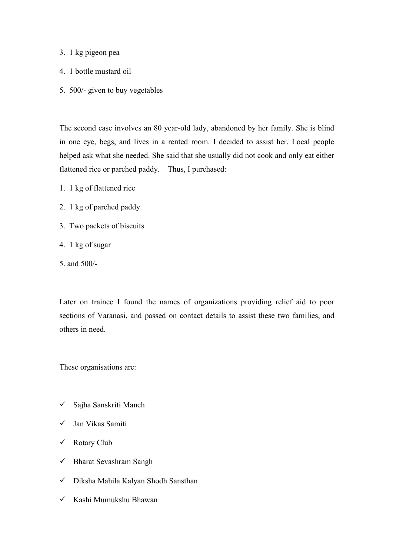- 3. 1 kg pigeon pea
- 4. 1 bottle mustard oil
- 5. 500/- given to buy vegetables

The second case involves an 80 year-old lady, abandoned by her family. She isblind in one eye, begs, and lives in a rented room. I decided to assist her. Local people helped ask what she needed. She said that she usually did not cook and only eat either flattened rice or parched paddy. Thus, I purchased:

- 1. 1 kg of flattened rice
- 2. 1 kg of parched paddy
- 3. Two packets of biscuits
- 4. 1 kg of sugar
- 5. and 500/-

Later on trainee I found the names of organizations providing relief aid to poor sections of Varanasi, and passed on contact details to assist these two families, and others in need.

These organisations are:

- Sajha Sanskriti Manch
- Jan Vikas Samiti
- Rotary Club
- $\checkmark$  Bharat Sevashram Sangh
- Diksha Mahila Kalyan Shodh Sansthan
- $\checkmark$  Kashi Mumukshu Bhawan